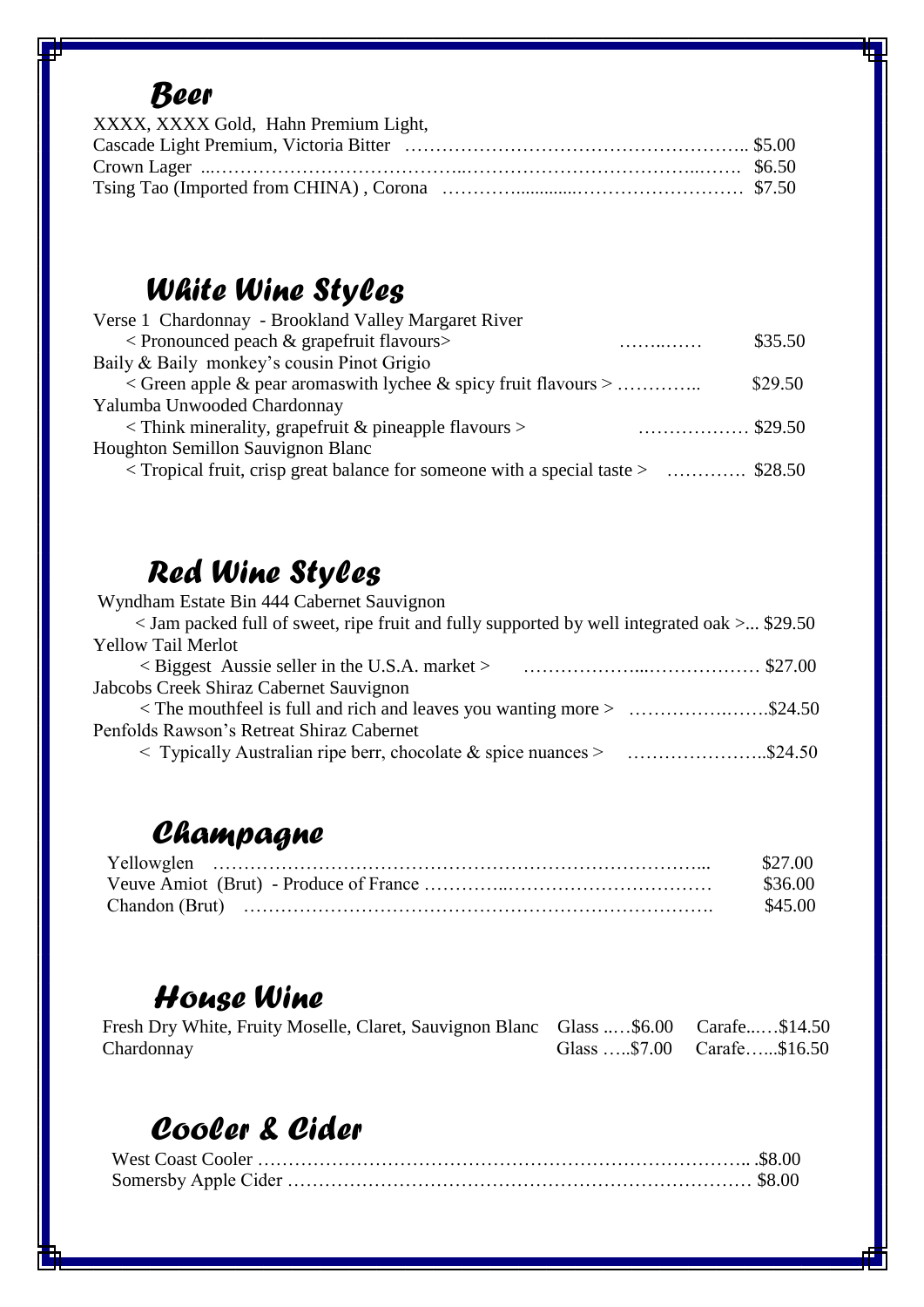### *Beer*

| XXXX, XXXX Gold, Hahn Premium Light, |  |
|--------------------------------------|--|
|                                      |  |
|                                      |  |
|                                      |  |

# *White Wine Styles*

| Verse 1 Chardonnay - Brookland Valley Margaret River                                      |         |
|-------------------------------------------------------------------------------------------|---------|
| $\langle$ Pronounced peach & grapefruit flavours $\langle$<br>.                           | \$35.50 |
| Baily & Baily monkey's cousin Pinot Grigio                                                |         |
| $\langle$ Green apple & pear aromas with lychee & spicy fruit flavours $\langle$          | \$29.50 |
| Yalumba Unwooded Chardonnay                                                               |         |
| $\langle$ Think minerality, grapefruit & pineapple flavours $\langle$<br>$\ldots$ \$29.50 |         |
| Houghton Semillon Sauvignon Blanc                                                         |         |
| Tropical fruit, crisp great balance for someone with a special taste >  \$28.50           |         |
|                                                                                           |         |

## *Red Wine Styles*

| Wyndham Estate Bin 444 Cabernet Sauvignon                                                                   |  |
|-------------------------------------------------------------------------------------------------------------|--|
| $\langle$ Jam packed full of sweet, ripe fruit and fully supported by well integrated oak $\langle$ \$29.50 |  |
| <b>Yellow Tail Merlot</b>                                                                                   |  |
|                                                                                                             |  |
| Jabcobs Creek Shiraz Cabernet Sauvignon                                                                     |  |
|                                                                                                             |  |
| Penfolds Rawson's Retreat Shiraz Cabernet                                                                   |  |
|                                                                                                             |  |

## *Champagne*

| \$27.00 |
|---------|
| \$36.00 |
| \$45.00 |

#### *House Wine*

| Fresh Dry White, Fruity Moselle, Claret, Sauvignon Blanc Glass \$6.00 Carafe\$14.50 |                            |
|-------------------------------------------------------------------------------------|----------------------------|
| Chardonnay                                                                          | Glass \$7.00 Carafe\$16.50 |

### *Cooler & Cider*